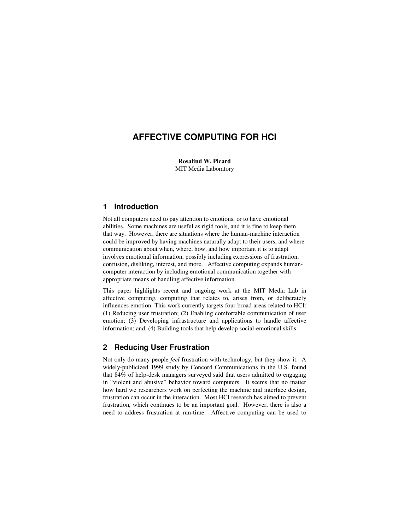# **AFFECTIVE COMPUTING FOR HCI**

**Rosalind W. Picard** MIT Media Laboratory

### **1 Introduction**

Not all computers need to pay attention to emotions, or to have emotional abilities. Some machines are useful as rigid tools, and it is fine to keep them that way. However, there are situations where the human-machine interaction could be improved by having machines naturally adapt to their users, and where communication about when, where, how, and how important it is to adapt involves emotional information, possibly including expressions of frustration, confusion, disliking, interest, and more. Affective computing expands humancomputer interaction by including emotional communication together with appropriate means of handling affective information.

This paper highlights recent and ongoing work at the MIT Media Lab in affective computing, computing that relates to, arises from, or deliberately influences emotion. This work currently targets four broad areas related to HCI: (1) Reducing user frustration; (2) Enabling comfortable communication of user emotion; (3) Developing infrastructure and applications to handle affective information; and, (4) Building tools that help develop social-emotional skills.

#### **2 Reducing User Frustration**

Not only do many people *feel* frustration with technology, but they show it. A widely-publicized 1999 study by Concord Communications in the U.S. found that 84% of help-desk managers surveyed said that users admitted to engaging in "violent and abusive" behavior toward computers. It seems that no matter how hard we researchers work on perfecting the machine and interface design, frustration can occur in the interaction. Most HCI research has aimed to prevent frustration, which continues to be an important goal. However, there is also a need to address frustration at run-time. Affective computing can be used to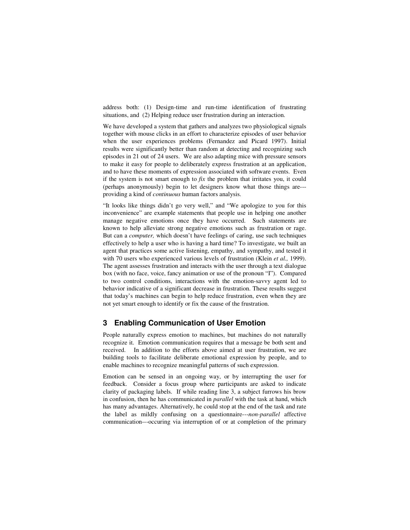address both: (1) Design-time and run-time identification of frustrating situations, and (2) Helping reduce user frustration during an interaction.

We have developed a system that gathers and analyzes two physiological signals together with mouse clicks in an effort to characterize episodes of user behavior when the user experiences problems (Fernandez and Picard 1997). Initial results were significantly better than random at detecting and recognizing such episodes in 21 out of 24 users. We are also adapting mice with pressure sensors to make it easy for people to deliberately express frustration at an application, and to have these moments of expression associated with software events. Even if the system is not smart enough to *fix* the problem that irritates you, it could (perhaps anonymously) begin to let designers know what those things are-- providing a kind of *continuous* human factors analysis.

"It looks like things didn't go very well," and "We apologize to you for this inconvenience" are example statements that people use in helping one another manage negative emotions once they have occurred. Such statements are known to help alleviate strong negative emotions such as frustration or rage. But can a *computer,* which doesn't have feelings of caring, use such techniques effectively to help a user who is having a hard time? To investigate, we built an agent that practices some active listening, empathy, and sympathy, and tested it with 70 users who experienced various levels of frustration (Klein *et al.,* 1999). The agent assesses frustration and interacts with the user through a text dialogue box (with no face, voice, fancy animation or use of the pronoun "I"). Compared to two control conditions, interactions with the emotion-savvy agent led to behavior indicative of a significant decrease in frustration. These results suggest that today's machines can begin to help reduce frustration, even when they are not yet smart enough to identify or fix the cause of the frustration.

#### **3 Enabling Communication of User Emotion**

People naturally express emotion to machines, but machines do not naturally recognize it. Emotion communication requires that a message be both sent and received. In addition to the efforts above aimed at user frustration, we are building tools to facilitate deliberate emotional expression by people, and to enable machines to recognize meaningful patterns of such expression.

Emotion can be sensed in an ongoing way, or by interrupting the user for feedback. Consider a focus group where participants are asked to indicate clarity of packaging labels. If while reading line 3, a subject furrows his brow in confusion, then he has communicated in *parallel* with the task at hand, which has many advantages. Alternatively, he could stop at the end of the task and rate the label as mildly confusing on a questionnaire---*non-parallel* affective communication---occuring via interruption of or at completion of the primary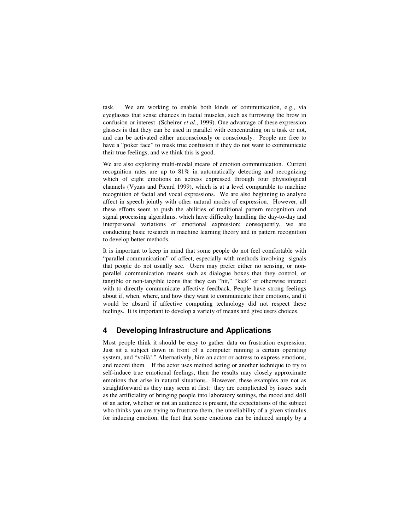task. We are working to enable both kinds of communication, e.g., via eyeglasses that sense chances in facial muscles, such as furrowing the brow in confusion or interest (Scheirer *et al*., 1999). One advantage of these expression glasses is that they can be used in parallel with concentrating on a task or not, and can be activated either unconsciously or consciously. People are free to have a "poker face" to mask true confusion if they do not want to communicate their true feelings, and we think this is good.

We are also exploring multi-modal means of emotion communication. Current recognition rates are up to 81% in automatically detecting and recognizing which of eight emotions an actress expressed through four physiological channels (Vyzas and Picard 1999), which is at a level comparable to machine recognition of facial and vocal expressions. We are also beginning to analyze affect in speech jointly with other natural modes of expression. However, all these efforts seem to push the abilities of traditional pattern recognition and signal processing algorithms, which have difficulty handling the day-to-day and interpersonal variations of emotional expression; consequently, we are conducting basic research in machine learning theory and in pattern recognition to develop better methods.

It is important to keep in mind that some people do not feel comfortable with "parallel communication" of affect, especially with methods involving signals that people do not usually see. Users may prefer either no sensing, or nonparallel communication means such as dialogue boxes that they control, or tangible or non-tangible icons that they can "hit," "kick" or otherwise interact with to directly communicate affective feedback. People have strong feelings about if, when, where, and how they want to communicate their emotions, and it would be absurd if affective computing technology did not respect these feelings. It is important to develop a variety of means and give users choices.

## **4 Developing Infrastructure and Applications**

Most people think it should be easy to gather data on frustration expression: Just sit a subject down in front of a computer running a certain operating system, and "voilà!." Alternatively, hire an actor or actress to express emotions, and record them. If the actor uses method acting or another technique to try to self-induce true emotional feelings, then the results may closely approximate emotions that arise in natural situations. However, these examples are not as straightforward as they may seem at first: they are complicated by issues such as the artificiality of bringing people into laboratory settings, the mood and skill of an actor, whether or not an audience is present, the expectations of the subject who thinks you are trying to frustrate them, the unreliability of a given stimulus for inducing emotion, the fact that some emotions can be induced simply by a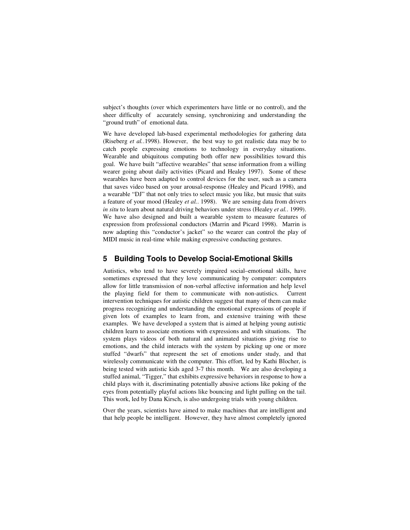subject's thoughts (over which experimenters have little or no control), and the sheer difficulty of accurately sensing, synchronizing and understanding the "ground truth" of emotional data.

We have developed lab-based experimental methodologies for gathering data (Riseberg *et al.*.1998). However, the best way to get realistic data may be to catch people expressing emotions to technology in everyday situations. Wearable and ubiquitous computing both offer new possibilities toward this goal. We have built "affective wearables" that sense information from a willing wearer going about daily activities (Picard and Healey 1997). Some of these wearables have been adapted to control devices for the user, such as a camera that saves video based on your arousal-response (Healey and Picard 1998), and a wearable "DJ" that not only tries to select music you like, but music that suits a feature of your mood (Healey *et al.*. 1998). We are sensing data from drivers *in situ* to learn about natural driving behaviors under stress (Healey *et al.*. 1999). We have also designed and built a wearable system to measure features of expression from professional conductors (Marrin and Picard 1998). Marrin is now adapting this "conductor's jacket" so the wearer can control the play of MIDI music in real-time while making expressive conducting gestures.

### **5 Building Tools to Develop Social-Emotional Skills**

Autistics, who tend to have severely impaired social–emotional skills, have sometimes expressed that they love communicating by computer: computers allow for little transmission of non-verbal affective information and help level the playing field for them to communicate with non-autistics. Current intervention techniques for autistic children suggest that many of them can make progress recognizing and understanding the emotional expressions of people if given lots of examples to learn from, and extensive training with these examples. We have developed a system that is aimed at helping young autistic children learn to associate emotions with expressions and with situations. The system plays videos of both natural and animated situations giving rise to emotions, and the child interacts with the system by picking up one or more stuffed "dwarfs" that represent the set of emotions under study, and that wirelessly communicate with the computer. This effort, led by Kathi Blocher, is being tested with autistic kids aged 3-7 this month. We are also developing a stuffed animal, "Tigger," that exhibits expressive behaviors in response to how a child plays with it, discriminating potentially abusive actions like poking of the eyes from potentially playful actions like bouncing and light pulling on the tail. This work, led by Dana Kirsch, is also undergoing trials with young children.

Over the years, scientists have aimed to make machines that are intelligent and that help people be intelligent. However, they have almost completely ignored